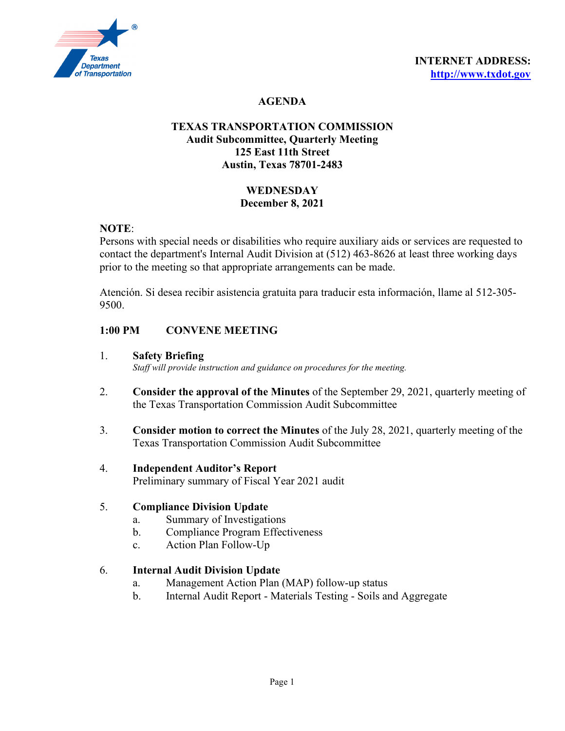

# **AGENDA**

## **TEXAS TRANSPORTATION COMMISSION Audit Subcommittee, Quarterly Meeting 125 East 11th Street Austin, Texas 78701-2483**

## **WEDNESDAY December 8, 2021**

## **NOTE**:

Persons with special needs or disabilities who require auxiliary aids or services are requested to contact the department's Internal Audit Division at (512) 463-8626 at least three working days prior to the meeting so that appropriate arrangements can be made.

Atención. Si desea recibir asistencia gratuita para traducir esta información, llame al 512-305- 9500.

## **1:00 PM CONVENE MEETING**

- 1. **Safety Briefing** *Staff will provide instruction and guidance on procedures for the meeting.*
- 2. **Consider the approval of the Minutes** of the September 29, 2021, quarterly meeting of the Texas Transportation Commission Audit Subcommittee
- 3. **Consider motion to correct the Minutes** of the July 28, 2021, quarterly meeting of the Texas Transportation Commission Audit Subcommittee
- 4. **Independent Auditor's Report** Preliminary summary of Fiscal Year 2021 audit

## 5. **Compliance Division Update**

- a. Summary of Investigations
- b. Compliance Program Effectiveness
- c. Action Plan Follow-Up

#### 6. **Internal Audit Division Update**

- a. Management Action Plan (MAP) follow-up status
- b. Internal Audit Report Materials Testing Soils and Aggregate